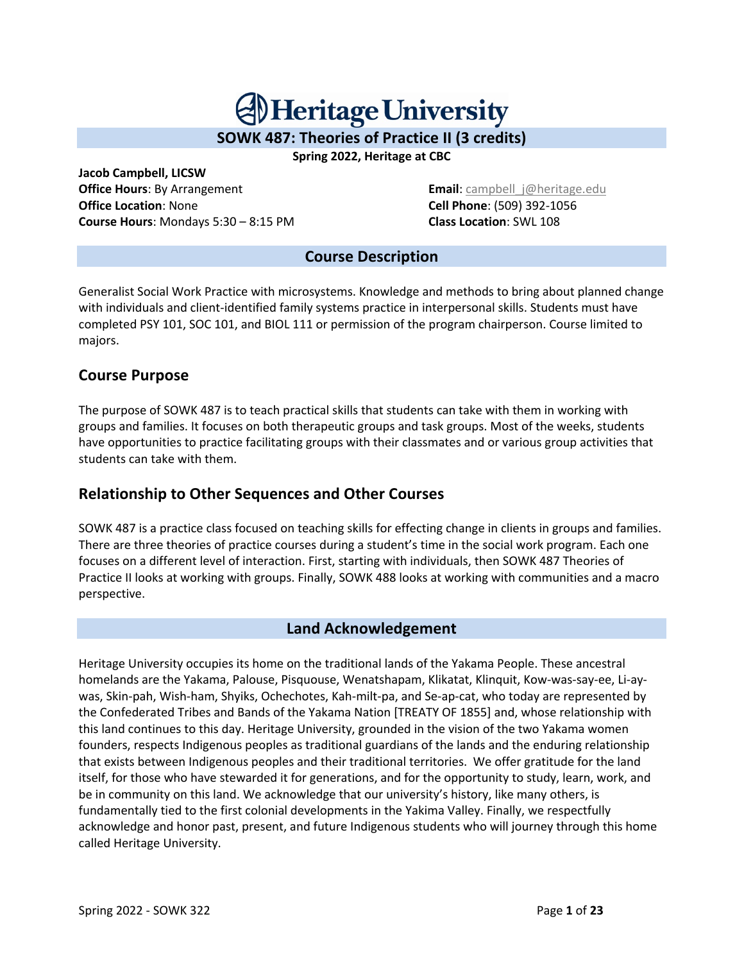# **Al Heritage University**

**SOWK 487: Theories of Practice II (3 credits)**

**Spring 2022, Heritage at CBC**

**Jacob Campbell, LICSW Office Hours: By Arrangement Email: campbell** i@heritage.edu **Office Location**: None **Cell Phone**: (509) 392-1056 **Course Hours**: Mondays 5:30 – 8:15 PM **Class Location**: SWL 108

#### **Course Description**

Generalist Social Work Practice with microsystems. Knowledge and methods to bring about planned change with individuals and client-identified family systems practice in interpersonal skills. Students must have completed PSY 101, SOC 101, and BIOL 111 or permission of the program chairperson. Course limited to majors.

# **Course Purpose**

The purpose of SOWK 487 is to teach practical skills that students can take with them in working with groups and families. It focuses on both therapeutic groups and task groups. Most of the weeks, students have opportunities to practice facilitating groups with their classmates and or various group activities that students can take with them.

# **Relationship to Other Sequences and Other Courses**

SOWK 487 is a practice class focused on teaching skills for effecting change in clients in groups and families. There are three theories of practice courses during a student's time in the social work program. Each one focuses on a different level of interaction. First, starting with individuals, then SOWK 487 Theories of Practice II looks at working with groups. Finally, SOWK 488 looks at working with communities and a macro perspective.

# **Land Acknowledgement**

Heritage University occupies its home on the traditional lands of the Yakama People. These ancestral homelands are the Yakama, Palouse, Pisquouse, Wenatshapam, Klikatat, Klinquit, Kow-was-say-ee, Li-aywas, Skin-pah, Wish-ham, Shyiks, Ochechotes, Kah-milt-pa, and Se-ap-cat, who today are represented by the Confederated Tribes and Bands of the Yakama Nation [TREATY OF 1855] and, whose relationship with this land continues to this day. Heritage University, grounded in the vision of the two Yakama women founders, respects Indigenous peoples as traditional guardians of the lands and the enduring relationship that exists between Indigenous peoples and their traditional territories. We offer gratitude for the land itself, for those who have stewarded it for generations, and for the opportunity to study, learn, work, and be in community on this land. We acknowledge that our university's history, like many others, is fundamentally tied to the first colonial developments in the Yakima Valley. Finally, we respectfully acknowledge and honor past, present, and future Indigenous students who will journey through this home called Heritage University.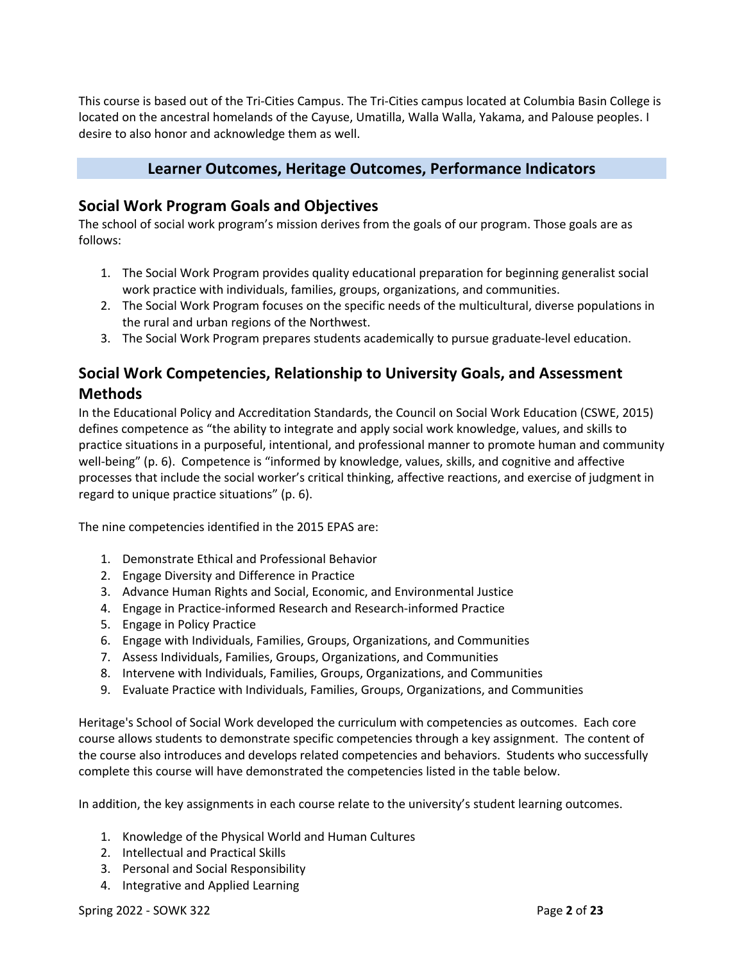This course is based out of the Tri-Cities Campus. The Tri-Cities campus located at Columbia Basin College is located on the ancestral homelands of the Cayuse, Umatilla, Walla Walla, Yakama, and Palouse peoples. I desire to also honor and acknowledge them as well.

#### **Learner Outcomes, Heritage Outcomes, Performance Indicators**

#### **Social Work Program Goals and Objectives**

The school of social work program's mission derives from the goals of our program. Those goals are as follows:

- 1. The Social Work Program provides quality educational preparation for beginning generalist social work practice with individuals, families, groups, organizations, and communities.
- 2. The Social Work Program focuses on the specific needs of the multicultural, diverse populations in the rural and urban regions of the Northwest.
- 3. The Social Work Program prepares students academically to pursue graduate-level education.

# **Social Work Competencies, Relationship to University Goals, and Assessment Methods**

In the Educational Policy and Accreditation Standards, the Council on Social Work Education (CSWE, 2015) defines competence as "the ability to integrate and apply social work knowledge, values, and skills to practice situations in a purposeful, intentional, and professional manner to promote human and community well-being" (p. 6). Competence is "informed by knowledge, values, skills, and cognitive and affective processes that include the social worker's critical thinking, affective reactions, and exercise of judgment in regard to unique practice situations" (p. 6).

The nine competencies identified in the 2015 EPAS are:

- 1. Demonstrate Ethical and Professional Behavior
- 2. Engage Diversity and Difference in Practice
- 3. Advance Human Rights and Social, Economic, and Environmental Justice
- 4. Engage in Practice-informed Research and Research-informed Practice
- 5. Engage in Policy Practice
- 6. Engage with Individuals, Families, Groups, Organizations, and Communities
- 7. Assess Individuals, Families, Groups, Organizations, and Communities
- 8. Intervene with Individuals, Families, Groups, Organizations, and Communities
- 9. Evaluate Practice with Individuals, Families, Groups, Organizations, and Communities

Heritage's School of Social Work developed the curriculum with competencies as outcomes. Each core course allows students to demonstrate specific competencies through a key assignment. The content of the course also introduces and develops related competencies and behaviors. Students who successfully complete this course will have demonstrated the competencies listed in the table below.

In addition, the key assignments in each course relate to the university's student learning outcomes.

- 1. Knowledge of the Physical World and Human Cultures
- 2. Intellectual and Practical Skills
- 3. Personal and Social Responsibility
- 4. Integrative and Applied Learning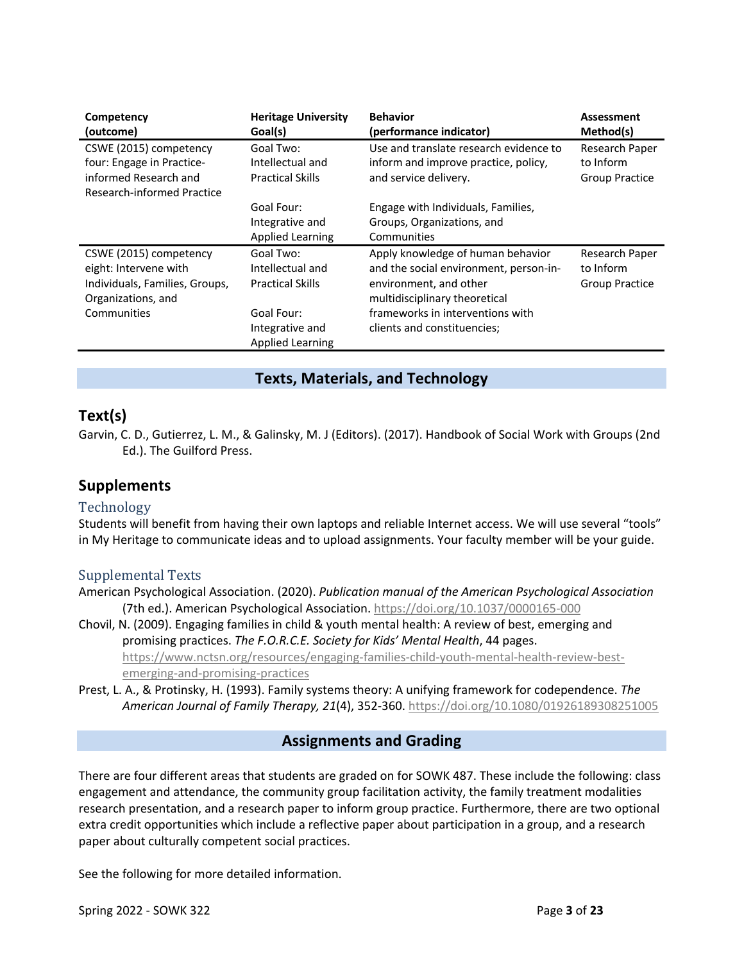| Competency<br>(outcome)                                                                                                | <b>Heritage University</b><br>Goal(s)                                                                                | <b>Behavior</b><br>(performance indicator)                                                                                                                                                                | <b>Assessment</b><br>Method(s)                |
|------------------------------------------------------------------------------------------------------------------------|----------------------------------------------------------------------------------------------------------------------|-----------------------------------------------------------------------------------------------------------------------------------------------------------------------------------------------------------|-----------------------------------------------|
| CSWE (2015) competency<br>four: Engage in Practice-<br>informed Research and<br><b>Research-informed Practice</b>      | Goal Two:<br>Intellectual and<br><b>Practical Skills</b>                                                             | Use and translate research evidence to<br>inform and improve practice, policy,<br>and service delivery.                                                                                                   | Research Paper<br>to Inform<br>Group Practice |
|                                                                                                                        | Goal Four:<br>Integrative and<br><b>Applied Learning</b>                                                             | Engage with Individuals, Families,<br>Groups, Organizations, and<br>Communities                                                                                                                           |                                               |
| CSWE (2015) competency<br>eight: Intervene with<br>Individuals, Families, Groups,<br>Organizations, and<br>Communities | Goal Two:<br>Intellectual and<br><b>Practical Skills</b><br>Goal Four:<br>Integrative and<br><b>Applied Learning</b> | Apply knowledge of human behavior<br>and the social environment, person-in-<br>environment, and other<br>multidisciplinary theoretical<br>frameworks in interventions with<br>clients and constituencies; | Research Paper<br>to Inform<br>Group Practice |

#### **Texts, Materials, and Technology**

#### **Text(s)**

Garvin, C. D., Gutierrez, L. M., & Galinsky, M. J (Editors). (2017). Handbook of Social Work with Groups (2nd Ed.). The Guilford Press.

#### **Supplements**

#### Technology

Students will benefit from having their own laptops and reliable Internet access. We will use several "tools" in My Heritage to communicate ideas and to upload assignments. Your faculty member will be your guide.

#### Supplemental Texts

American Psychological Association. (2020). *Publication manual of the American Psychological Association* (7th ed.). American Psychological Association. https://doi.org/10.1037/0000165-000

Chovil, N. (2009). Engaging families in child & youth mental health: A review of best, emerging and promising practices. *The F.O.R.C.E. Society for Kids' Mental Health*, 44 pages. https://www.nctsn.org/resources/engaging-families-child-youth-mental-health-review-bestemerging-and-promising-practices

Prest, L. A., & Protinsky, H. (1993). Family systems theory: A unifying framework for codependence. *The American Journal of Family Therapy, 21*(4), 352-360. https://doi.org/10.1080/01926189308251005

#### **Assignments and Grading**

There are four different areas that students are graded on for SOWK 487. These include the following: class engagement and attendance, the community group facilitation activity, the family treatment modalities research presentation, and a research paper to inform group practice. Furthermore, there are two optional extra credit opportunities which include a reflective paper about participation in a group, and a research paper about culturally competent social practices.

See the following for more detailed information.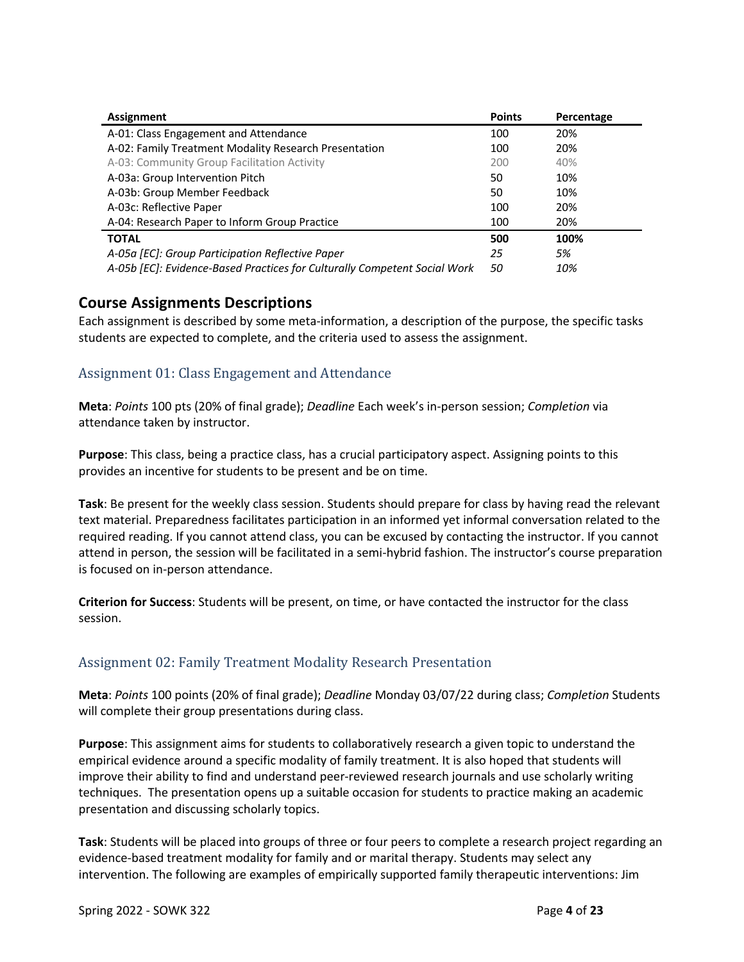| Assignment                                                                | <b>Points</b> | Percentage |
|---------------------------------------------------------------------------|---------------|------------|
| A-01: Class Engagement and Attendance                                     | 100           | 20%        |
| A-02: Family Treatment Modality Research Presentation                     | 100           | 20%        |
| A-03: Community Group Facilitation Activity                               | 200           | 40%        |
| A-03a: Group Intervention Pitch                                           | 50            | 10%        |
| A-03b: Group Member Feedback                                              | 50            | 10%        |
| A-03c: Reflective Paper                                                   | 100           | 20%        |
| A-04: Research Paper to Inform Group Practice                             | 100           | 20%        |
| <b>TOTAL</b>                                                              | 500           | 100%       |
| A-05a [EC]: Group Participation Reflective Paper                          | 25            | 5%         |
| A-05b [EC]: Evidence-Based Practices for Culturally Competent Social Work | 50            | 10%        |

#### **Course Assignments Descriptions**

Each assignment is described by some meta-information, a description of the purpose, the specific tasks students are expected to complete, and the criteria used to assess the assignment.

#### Assignment 01: Class Engagement and Attendance

**Meta**: *Points* 100 pts (20% of final grade); *Deadline* Each week's in-person session; *Completion* via attendance taken by instructor.

**Purpose**: This class, being a practice class, has a crucial participatory aspect. Assigning points to this provides an incentive for students to be present and be on time.

**Task**: Be present for the weekly class session. Students should prepare for class by having read the relevant text material. Preparedness facilitates participation in an informed yet informal conversation related to the required reading. If you cannot attend class, you can be excused by contacting the instructor. If you cannot attend in person, the session will be facilitated in a semi-hybrid fashion. The instructor's course preparation is focused on in-person attendance.

**Criterion for Success**: Students will be present, on time, or have contacted the instructor for the class session.

#### Assignment 02: Family Treatment Modality Research Presentation

**Meta**: *Points* 100 points (20% of final grade); *Deadline* Monday 03/07/22 during class; *Completion* Students will complete their group presentations during class.

**Purpose**: This assignment aims for students to collaboratively research a given topic to understand the empirical evidence around a specific modality of family treatment. It is also hoped that students will improve their ability to find and understand peer-reviewed research journals and use scholarly writing techniques. The presentation opens up a suitable occasion for students to practice making an academic presentation and discussing scholarly topics.

**Task**: Students will be placed into groups of three or four peers to complete a research project regarding an evidence-based treatment modality for family and or marital therapy. Students may select any intervention. The following are examples of empirically supported family therapeutic interventions: Jim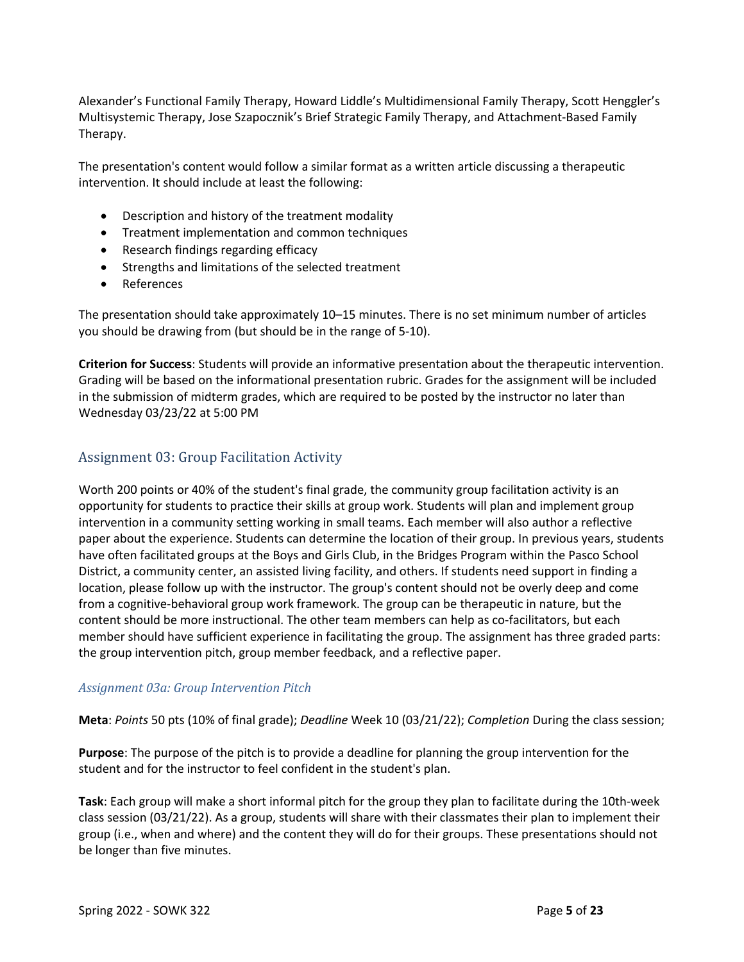Alexander's Functional Family Therapy, Howard Liddle's Multidimensional Family Therapy, Scott Henggler's Multisystemic Therapy, Jose Szapocznik's Brief Strategic Family Therapy, and Attachment-Based Family Therapy.

The presentation's content would follow a similar format as a written article discussing a therapeutic intervention. It should include at least the following:

- Description and history of the treatment modality
- Treatment implementation and common techniques
- Research findings regarding efficacy
- Strengths and limitations of the selected treatment
- References

The presentation should take approximately 10–15 minutes. There is no set minimum number of articles you should be drawing from (but should be in the range of 5-10).

**Criterion for Success**: Students will provide an informative presentation about the therapeutic intervention. Grading will be based on the informational presentation rubric. Grades for the assignment will be included in the submission of midterm grades, which are required to be posted by the instructor no later than Wednesday 03/23/22 at 5:00 PM

#### Assignment 03: Group Facilitation Activity

Worth 200 points or 40% of the student's final grade, the community group facilitation activity is an opportunity for students to practice their skills at group work. Students will plan and implement group intervention in a community setting working in small teams. Each member will also author a reflective paper about the experience. Students can determine the location of their group. In previous years, students have often facilitated groups at the Boys and Girls Club, in the Bridges Program within the Pasco School District, a community center, an assisted living facility, and others. If students need support in finding a location, please follow up with the instructor. The group's content should not be overly deep and come from a cognitive-behavioral group work framework. The group can be therapeutic in nature, but the content should be more instructional. The other team members can help as co-facilitators, but each member should have sufficient experience in facilitating the group. The assignment has three graded parts: the group intervention pitch, group member feedback, and a reflective paper.

#### *Assignment 03a: Group Intervention Pitch*

**Meta**: *Points* 50 pts (10% of final grade); *Deadline* Week 10 (03/21/22); *Completion* During the class session;

**Purpose**: The purpose of the pitch is to provide a deadline for planning the group intervention for the student and for the instructor to feel confident in the student's plan.

**Task**: Each group will make a short informal pitch for the group they plan to facilitate during the 10th-week class session (03/21/22). As a group, students will share with their classmates their plan to implement their group (i.e., when and where) and the content they will do for their groups. These presentations should not be longer than five minutes.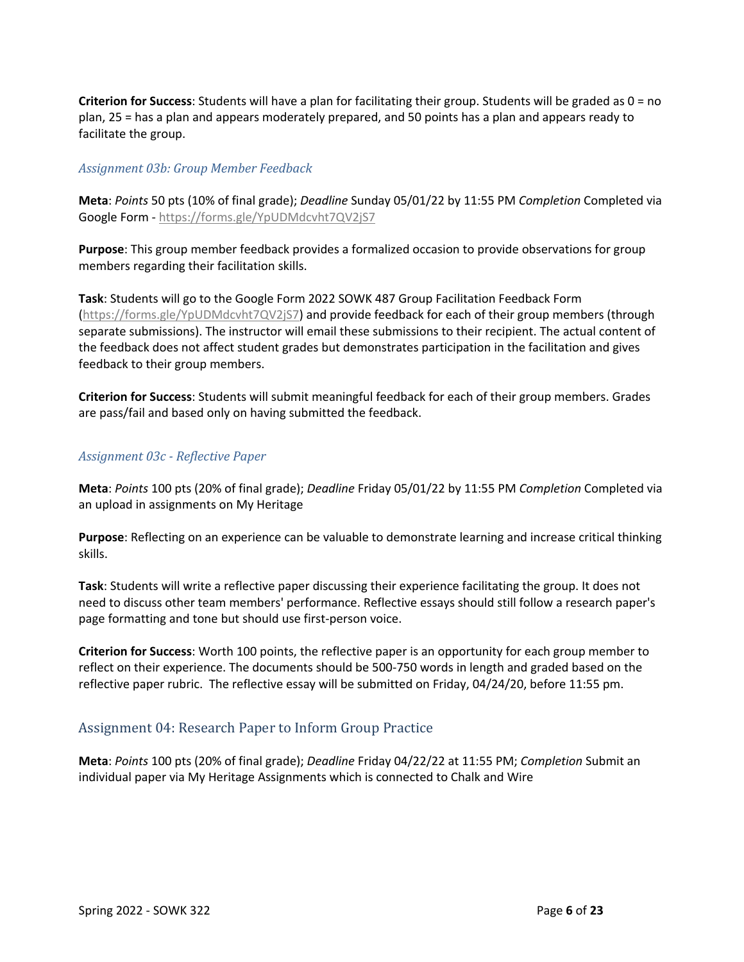**Criterion for Success**: Students will have a plan for facilitating their group. Students will be graded as 0 = no plan, 25 = has a plan and appears moderately prepared, and 50 points has a plan and appears ready to facilitate the group.

#### *Assignment 03b: Group Member Feedback*

**Meta**: *Points* 50 pts (10% of final grade); *Deadline* Sunday 05/01/22 by 11:55 PM *Completion* Completed via Google Form - https://forms.gle/YpUDMdcvht7QV2jS7

**Purpose**: This group member feedback provides a formalized occasion to provide observations for group members regarding their facilitation skills.

**Task**: Students will go to the Google Form 2022 SOWK 487 Group Facilitation Feedback Form (https://forms.gle/YpUDMdcvht7QV2jS7) and provide feedback for each of their group members (through separate submissions). The instructor will email these submissions to their recipient. The actual content of the feedback does not affect student grades but demonstrates participation in the facilitation and gives feedback to their group members.

**Criterion for Success**: Students will submit meaningful feedback for each of their group members. Grades are pass/fail and based only on having submitted the feedback.

#### *Assignment 03c - Reflective Paper*

**Meta**: *Points* 100 pts (20% of final grade); *Deadline* Friday 05/01/22 by 11:55 PM *Completion* Completed via an upload in assignments on My Heritage

**Purpose**: Reflecting on an experience can be valuable to demonstrate learning and increase critical thinking skills.

**Task**: Students will write a reflective paper discussing their experience facilitating the group. It does not need to discuss other team members' performance. Reflective essays should still follow a research paper's page formatting and tone but should use first-person voice.

**Criterion for Success**: Worth 100 points, the reflective paper is an opportunity for each group member to reflect on their experience. The documents should be 500-750 words in length and graded based on the reflective paper rubric. The reflective essay will be submitted on Friday, 04/24/20, before 11:55 pm.

#### Assignment 04: Research Paper to Inform Group Practice

**Meta**: *Points* 100 pts (20% of final grade); *Deadline* Friday 04/22/22 at 11:55 PM; *Completion* Submit an individual paper via My Heritage Assignments which is connected to Chalk and Wire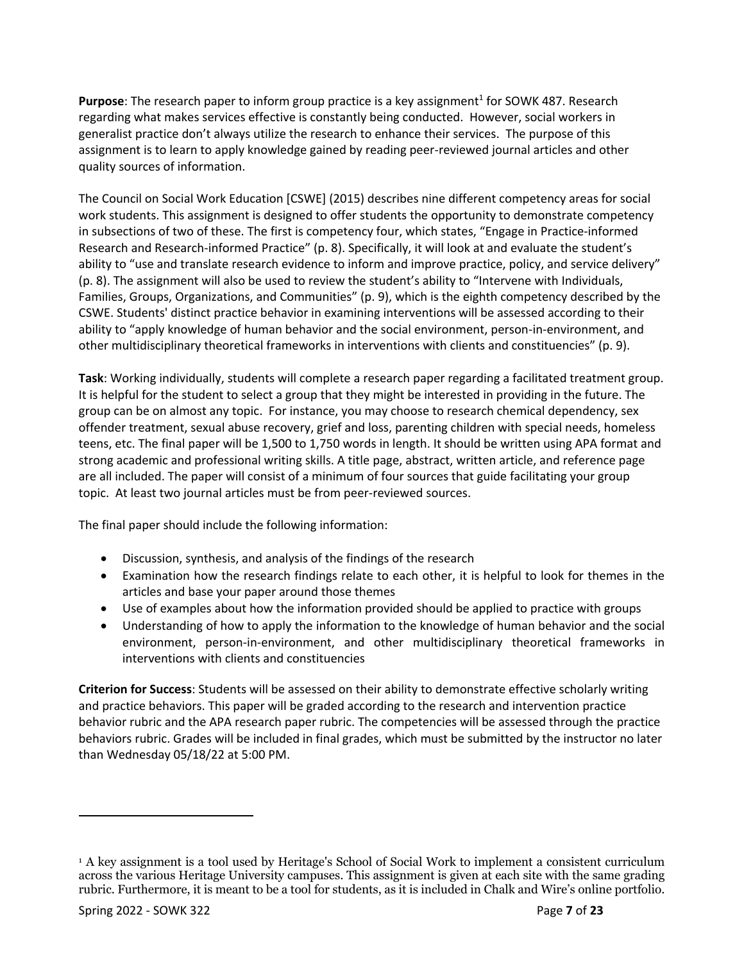**Purpose**: The research paper to inform group practice is a key assignment<sup>1</sup> for SOWK 487. Research regarding what makes services effective is constantly being conducted. However, social workers in generalist practice don't always utilize the research to enhance their services. The purpose of this assignment is to learn to apply knowledge gained by reading peer-reviewed journal articles and other quality sources of information.

The Council on Social Work Education [CSWE] (2015) describes nine different competency areas for social work students. This assignment is designed to offer students the opportunity to demonstrate competency in subsections of two of these. The first is competency four, which states, "Engage in Practice-informed Research and Research-informed Practice" (p. 8). Specifically, it will look at and evaluate the student's ability to "use and translate research evidence to inform and improve practice, policy, and service delivery" (p. 8). The assignment will also be used to review the student's ability to "Intervene with Individuals, Families, Groups, Organizations, and Communities" (p. 9), which is the eighth competency described by the CSWE. Students' distinct practice behavior in examining interventions will be assessed according to their ability to "apply knowledge of human behavior and the social environment, person-in-environment, and other multidisciplinary theoretical frameworks in interventions with clients and constituencies" (p. 9).

**Task**: Working individually, students will complete a research paper regarding a facilitated treatment group. It is helpful for the student to select a group that they might be interested in providing in the future. The group can be on almost any topic. For instance, you may choose to research chemical dependency, sex offender treatment, sexual abuse recovery, grief and loss, parenting children with special needs, homeless teens, etc. The final paper will be 1,500 to 1,750 words in length. It should be written using APA format and strong academic and professional writing skills. A title page, abstract, written article, and reference page are all included. The paper will consist of a minimum of four sources that guide facilitating your group topic. At least two journal articles must be from peer-reviewed sources.

The final paper should include the following information:

- Discussion, synthesis, and analysis of the findings of the research
- Examination how the research findings relate to each other, it is helpful to look for themes in the articles and base your paper around those themes
- Use of examples about how the information provided should be applied to practice with groups
- Understanding of how to apply the information to the knowledge of human behavior and the social environment, person-in-environment, and other multidisciplinary theoretical frameworks in interventions with clients and constituencies

**Criterion for Success**: Students will be assessed on their ability to demonstrate effective scholarly writing and practice behaviors. This paper will be graded according to the research and intervention practice behavior rubric and the APA research paper rubric. The competencies will be assessed through the practice behaviors rubric. Grades will be included in final grades, which must be submitted by the instructor no later than Wednesday 05/18/22 at 5:00 PM.

<sup>1</sup> A key assignment is a tool used by Heritage's School of Social Work to implement a consistent curriculum across the various Heritage University campuses. This assignment is given at each site with the same grading rubric. Furthermore, it is meant to be a tool for students, as it is included in Chalk and Wire's online portfolio.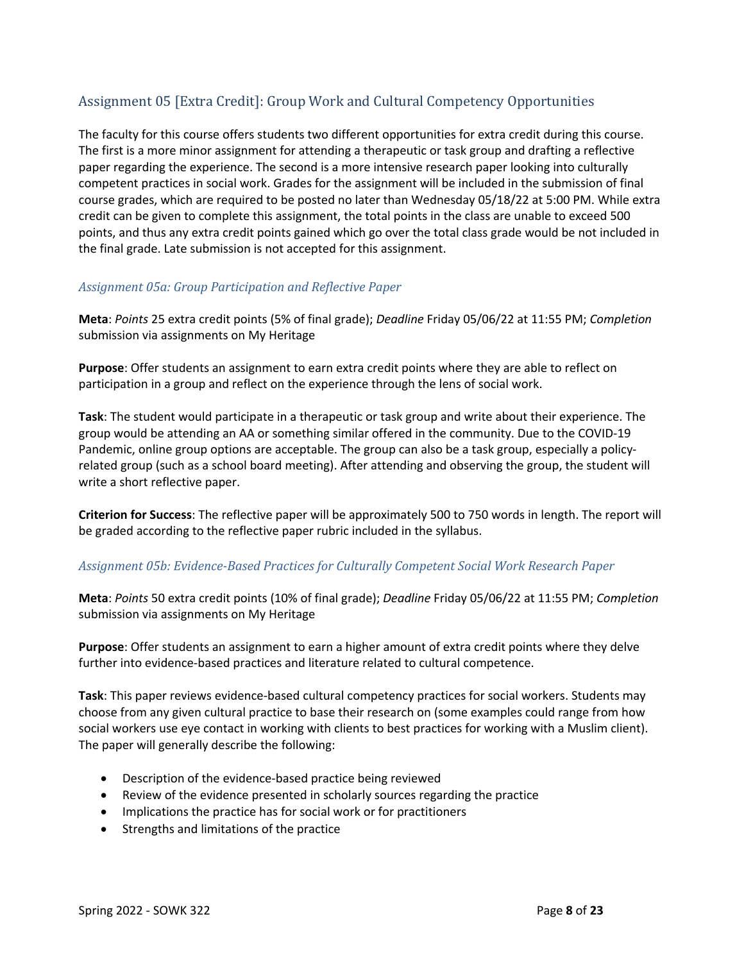# Assignment 05 [Extra Credit]: Group Work and Cultural Competency Opportunities

The faculty for this course offers students two different opportunities for extra credit during this course. The first is a more minor assignment for attending a therapeutic or task group and drafting a reflective paper regarding the experience. The second is a more intensive research paper looking into culturally competent practices in social work. Grades for the assignment will be included in the submission of final course grades, which are required to be posted no later than Wednesday 05/18/22 at 5:00 PM. While extra credit can be given to complete this assignment, the total points in the class are unable to exceed 500 points, and thus any extra credit points gained which go over the total class grade would be not included in the final grade. Late submission is not accepted for this assignment.

#### *Assignment 05a: Group Participation and Reflective Paper*

**Meta**: *Points* 25 extra credit points (5% of final grade); *Deadline* Friday 05/06/22 at 11:55 PM; *Completion* submission via assignments on My Heritage

**Purpose**: Offer students an assignment to earn extra credit points where they are able to reflect on participation in a group and reflect on the experience through the lens of social work.

**Task**: The student would participate in a therapeutic or task group and write about their experience. The group would be attending an AA or something similar offered in the community. Due to the COVID-19 Pandemic, online group options are acceptable. The group can also be a task group, especially a policyrelated group (such as a school board meeting). After attending and observing the group, the student will write a short reflective paper.

**Criterion for Success**: The reflective paper will be approximately 500 to 750 words in length. The report will be graded according to the reflective paper rubric included in the syllabus.

#### *Assignment 05b: Evidence-Based Practices for Culturally Competent Social Work Research Paper*

**Meta**: *Points* 50 extra credit points (10% of final grade); *Deadline* Friday 05/06/22 at 11:55 PM; *Completion* submission via assignments on My Heritage

**Purpose**: Offer students an assignment to earn a higher amount of extra credit points where they delve further into evidence-based practices and literature related to cultural competence.

**Task**: This paper reviews evidence-based cultural competency practices for social workers. Students may choose from any given cultural practice to base their research on (some examples could range from how social workers use eye contact in working with clients to best practices for working with a Muslim client). The paper will generally describe the following:

- Description of the evidence-based practice being reviewed
- Review of the evidence presented in scholarly sources regarding the practice
- Implications the practice has for social work or for practitioners
- Strengths and limitations of the practice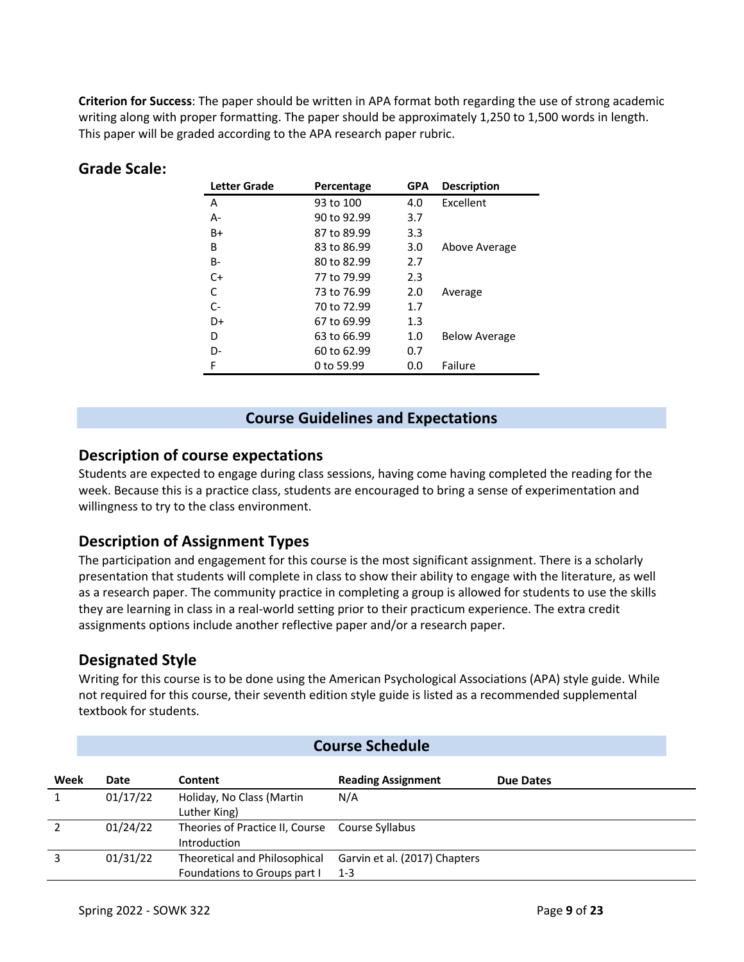**Criterion for Success**: The paper should be written in APA format both regarding the use of strong academic writing along with proper formatting. The paper should be approximately 1,250 to 1,500 words in length. This paper will be graded according to the APA research paper rubric.

| Letter Grade | Percentage  | <b>GPA</b> | <b>Description</b>   |
|--------------|-------------|------------|----------------------|
| А            | 93 to 100   | 4.0        | Excellent            |
| А-           | 90 to 92.99 | 3.7        |                      |
| B+           | 87 to 89.99 | 3.3        |                      |
| в            | 83 to 86.99 | 3.0        | Above Average        |
| B-           | 80 to 82.99 | 2.7        |                      |
| C+           | 77 to 79.99 | 2.3        |                      |
| C            | 73 to 76.99 | 2.0        | Average              |
| $C-$         | 70 to 72.99 | 1.7        |                      |
| D+           | 67 to 69.99 | 1.3        |                      |
| D            | 63 to 66.99 | 1.0        | <b>Below Average</b> |
| D-           | 60 to 62.99 | 0.7        |                      |
| F            | 0 to 59.99  | 0.0        | Failure              |

#### **Grade Scale:**

#### **Course Guidelines and Expectations**

#### **Description of course expectations**

Students are expected to engage during class sessions, having come having completed the reading for the week. Because this is a practice class, students are encouraged to bring a sense of experimentation and willingness to try to the class environment.

#### **Description of Assignment Types**

The participation and engagement for this course is the most significant assignment. There is a scholarly presentation that students will complete in class to show their ability to engage with the literature, as well as a research paper. The community practice in completing a group is allowed for students to use the skills they are learning in class in a real-world setting prior to their practicum experience. The extra credit assignments options include another reflective paper and/or a research paper.

#### **Designated Style**

Writing for this course is to be done using the American Psychological Associations (APA) style guide. While not required for this course, their seventh edition style guide is listed as a recommended supplemental textbook for students.

|      | <b>Course Schedule</b> |                                                                        |                                          |                  |  |
|------|------------------------|------------------------------------------------------------------------|------------------------------------------|------------------|--|
| Week | Date                   | Content                                                                | <b>Reading Assignment</b>                | <b>Due Dates</b> |  |
| 1    | 01/17/22               | Holiday, No Class (Martin<br>Luther King)                              | N/A                                      |                  |  |
|      | 01/24/22               | Theories of Practice II, Course Course Syllabus<br><b>Introduction</b> |                                          |                  |  |
| 3    | 01/31/22               | Theoretical and Philosophical<br>Foundations to Groups part I          | Garvin et al. (2017) Chapters<br>$1 - 3$ |                  |  |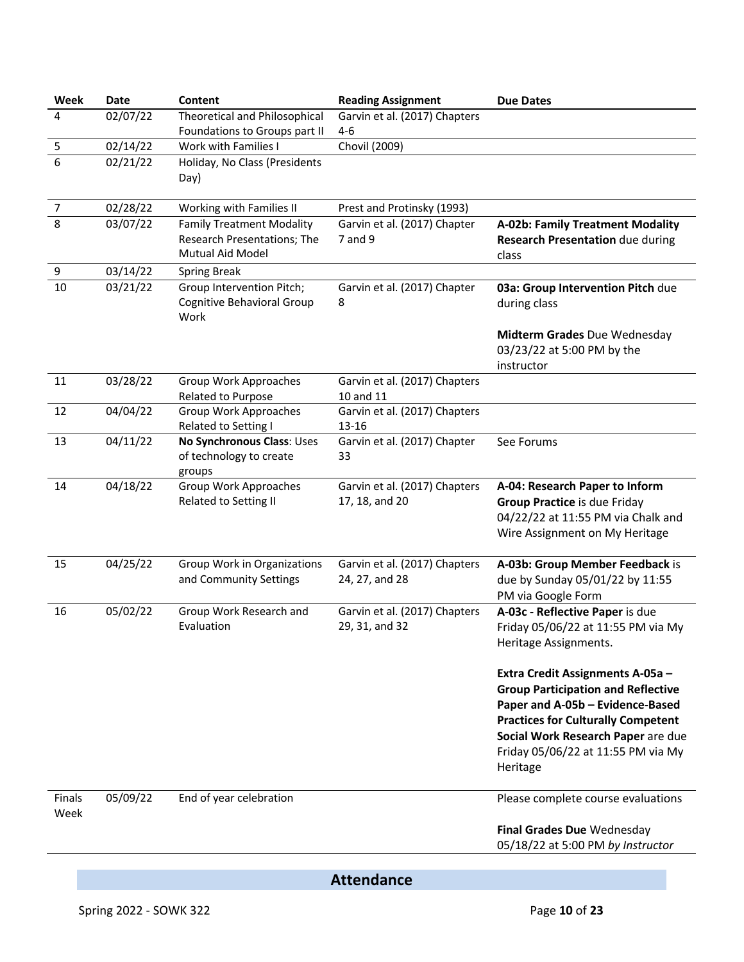| Week                  | <b>Date</b> | Content                                                                                    | <b>Reading Assignment</b>                       | <b>Due Dates</b>                                                                                                                                                                                                                                       |
|-----------------------|-------------|--------------------------------------------------------------------------------------------|-------------------------------------------------|--------------------------------------------------------------------------------------------------------------------------------------------------------------------------------------------------------------------------------------------------------|
| 4                     | 02/07/22    | <b>Theoretical and Philosophical</b><br>Foundations to Groups part II                      | Garvin et al. (2017) Chapters<br>$4 - 6$        |                                                                                                                                                                                                                                                        |
| 5                     | 02/14/22    | Work with Families I                                                                       | Chovil (2009)                                   |                                                                                                                                                                                                                                                        |
| 6                     | 02/21/22    | Holiday, No Class (Presidents<br>Day)                                                      |                                                 |                                                                                                                                                                                                                                                        |
| $\overline{7}$        | 02/28/22    | Working with Families II                                                                   | Prest and Protinsky (1993)                      |                                                                                                                                                                                                                                                        |
| 8                     | 03/07/22    | <b>Family Treatment Modality</b><br>Research Presentations; The<br><b>Mutual Aid Model</b> | Garvin et al. (2017) Chapter<br>7 and 9         | A-02b: Family Treatment Modality<br><b>Research Presentation due during</b><br>class                                                                                                                                                                   |
| 9                     | 03/14/22    | <b>Spring Break</b>                                                                        |                                                 |                                                                                                                                                                                                                                                        |
| 10                    | 03/21/22    | Group Intervention Pitch;<br>Cognitive Behavioral Group<br>Work                            | Garvin et al. (2017) Chapter<br>8               | 03a: Group Intervention Pitch due<br>during class                                                                                                                                                                                                      |
|                       |             |                                                                                            |                                                 | Midterm Grades Due Wednesday<br>03/23/22 at 5:00 PM by the<br>instructor                                                                                                                                                                               |
| 11                    | 03/28/22    | Group Work Approaches<br>Related to Purpose                                                | Garvin et al. (2017) Chapters<br>10 and 11      |                                                                                                                                                                                                                                                        |
| 12                    | 04/04/22    | <b>Group Work Approaches</b><br>Related to Setting I                                       | Garvin et al. (2017) Chapters<br>13-16          |                                                                                                                                                                                                                                                        |
| 13                    | 04/11/22    | No Synchronous Class: Uses<br>of technology to create<br>groups                            | Garvin et al. (2017) Chapter<br>33              | See Forums                                                                                                                                                                                                                                             |
| 14                    | 04/18/22    | Group Work Approaches<br>Related to Setting II                                             | Garvin et al. (2017) Chapters<br>17, 18, and 20 | A-04: Research Paper to Inform<br><b>Group Practice is due Friday</b><br>04/22/22 at 11:55 PM via Chalk and<br>Wire Assignment on My Heritage                                                                                                          |
| 15                    | 04/25/22    | Group Work in Organizations<br>and Community Settings                                      | Garvin et al. (2017) Chapters<br>24, 27, and 28 | A-03b: Group Member Feedback is<br>due by Sunday 05/01/22 by 11:55<br>PM via Google Form                                                                                                                                                               |
| 16                    | 05/02/22    | Group Work Research and<br>Evaluation                                                      | Garvin et al. (2017) Chapters<br>29, 31, and 32 | A-03c - Reflective Paper is due<br>Friday 05/06/22 at 11:55 PM via My<br>Heritage Assignments.                                                                                                                                                         |
|                       |             |                                                                                            |                                                 | Extra Credit Assignments A-05a -<br><b>Group Participation and Reflective</b><br>Paper and A-05b - Evidence-Based<br><b>Practices for Culturally Competent</b><br>Social Work Research Paper are due<br>Friday 05/06/22 at 11:55 PM via My<br>Heritage |
| <b>Finals</b><br>Week | 05/09/22    | End of year celebration                                                                    |                                                 | Please complete course evaluations                                                                                                                                                                                                                     |
|                       |             |                                                                                            |                                                 | Final Grades Due Wednesday<br>05/18/22 at 5:00 PM by Instructor                                                                                                                                                                                        |

**Attendance**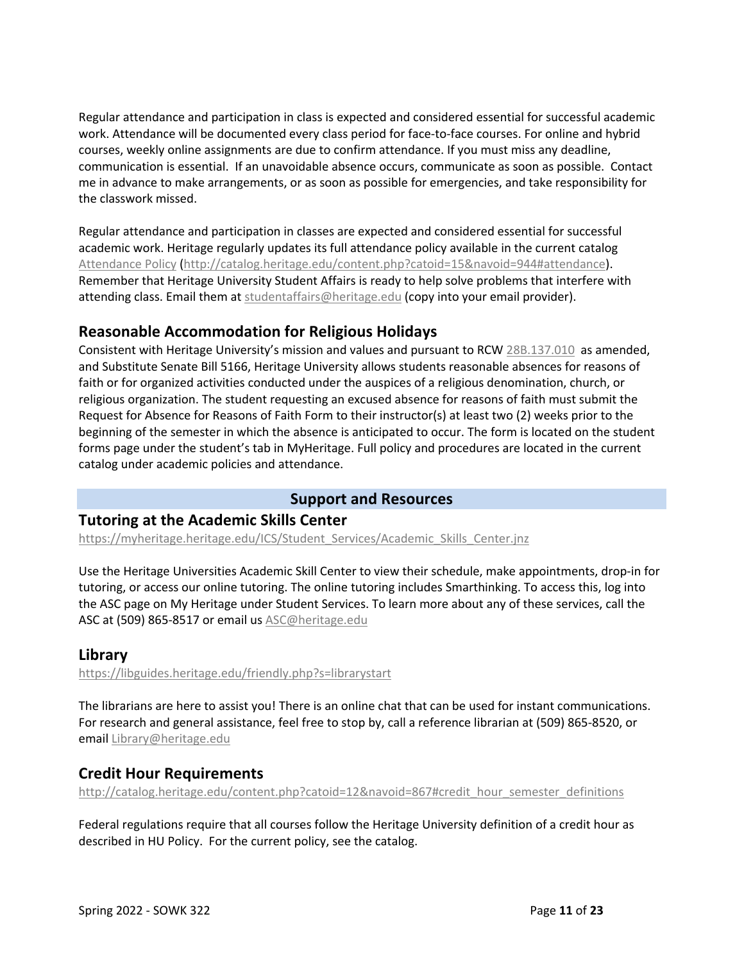Regular attendance and participation in class is expected and considered essential for successful academic work. Attendance will be documented every class period for face-to-face courses. For online and hybrid courses, weekly online assignments are due to confirm attendance. If you must miss any deadline, communication is essential. If an unavoidable absence occurs, communicate as soon as possible. Contact me in advance to make arrangements, or as soon as possible for emergencies, and take responsibility for the classwork missed.

Regular attendance and participation in classes are expected and considered essential for successful academic work. Heritage regularly updates its full attendance policy available in the current catalog Attendance Policy (http://catalog.heritage.edu/content.php?catoid=15&navoid=944#attendance). Remember that Heritage University Student Affairs is ready to help solve problems that interfere with attending class. Email them at studentaffairs@heritage.edu (copy into your email provider).

# **Reasonable Accommodation for Religious Holidays**

Consistent with Heritage University's mission and values and pursuant to RCW 28B.137.010 as amended, and Substitute Senate Bill 5166, Heritage University allows students reasonable absences for reasons of faith or for organized activities conducted under the auspices of a religious denomination, church, or religious organization. The student requesting an excused absence for reasons of faith must submit the Request for Absence for Reasons of Faith Form to their instructor(s) at least two (2) weeks prior to the beginning of the semester in which the absence is anticipated to occur. The form is located on the student forms page under the student's tab in MyHeritage. Full policy and procedures are located in the current catalog under academic policies and attendance.

#### **Support and Resources**

#### **Tutoring at the Academic Skills Center**

https://myheritage.heritage.edu/ICS/Student\_Services/Academic\_Skills\_Center.jnz

Use the Heritage Universities Academic Skill Center to view their schedule, make appointments, drop-in for tutoring, or access our online tutoring. The online tutoring includes Smarthinking. To access this, log into the ASC page on My Heritage under Student Services. To learn more about any of these services, call the ASC at (509) 865-8517 or email us ASC@heritage.edu

# **Library**

https://libguides.heritage.edu/friendly.php?s=librarystart

The librarians are here to assist you! There is an online chat that can be used for instant communications. For research and general assistance, feel free to stop by, call a reference librarian at (509) 865-8520, or email Library@heritage.edu

# **Credit Hour Requirements**

http://catalog.heritage.edu/content.php?catoid=12&navoid=867#credit\_hour\_semester\_definitions

Federal regulations require that all courses follow the Heritage University definition of a credit hour as described in HU Policy. For the current policy, see the catalog.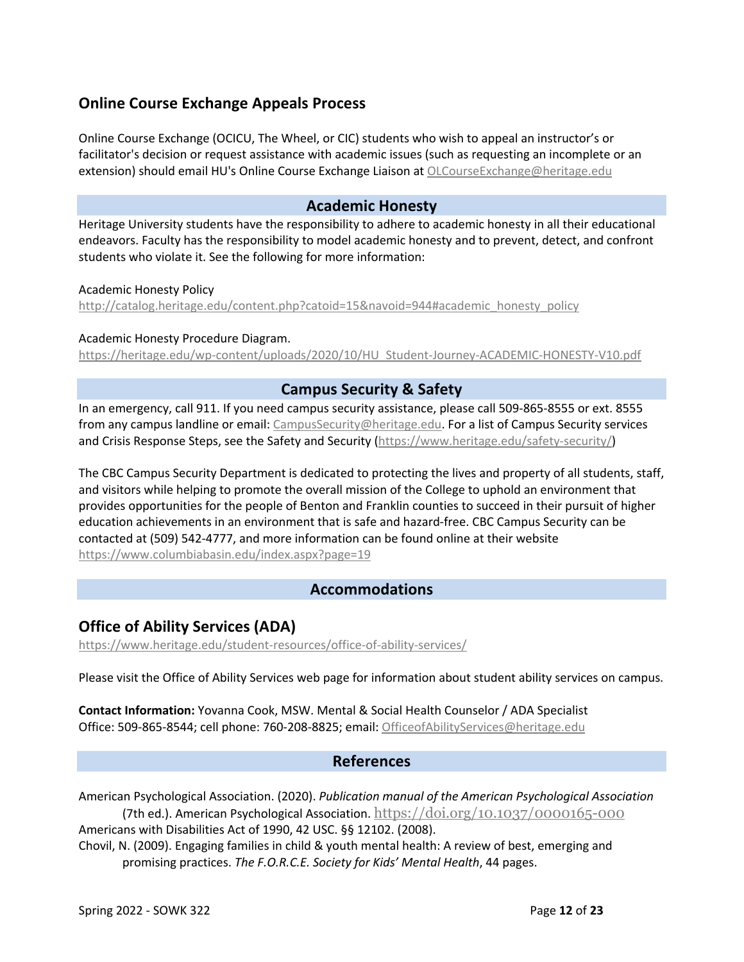# **Online Course Exchange Appeals Process**

Online Course Exchange (OCICU, The Wheel, or CIC) students who wish to appeal an instructor's or facilitator's decision or request assistance with academic issues (such as requesting an incomplete or an extension) should email HU's Online Course Exchange Liaison at OLCourseExchange@heritage.edu

#### **Academic Honesty**

Heritage University students have the responsibility to adhere to academic honesty in all their educational endeavors. Faculty has the responsibility to model academic honesty and to prevent, detect, and confront students who violate it. See the following for more information:

#### Academic Honesty Policy

http://catalog.heritage.edu/content.php?catoid=15&navoid=944#academic\_honesty\_policy

#### Academic Honesty Procedure Diagram.

https://heritage.edu/wp-content/uploads/2020/10/HU\_Student-Journey-ACADEMIC-HONESTY-V10.pdf

#### **Campus Security & Safety**

In an emergency, call 911. If you need campus security assistance, please call 509-865-8555 or ext. 8555 from any campus landline or email: CampusSecurity@heritage.edu. For a list of Campus Security services and Crisis Response Steps, see the Safety and Security (https://www.heritage.edu/safety-security/)

The CBC Campus Security Department is dedicated to protecting the lives and property of all students, staff, and visitors while helping to promote the overall mission of the College to uphold an environment that provides opportunities for the people of Benton and Franklin counties to succeed in their pursuit of higher education achievements in an environment that is safe and hazard-free. CBC Campus Security can be contacted at (509) 542-4777, and more information can be found online at their website https://www.columbiabasin.edu/index.aspx?page=19

#### **Accommodations**

# **Office of Ability Services (ADA)**

https://www.heritage.edu/student-resources/office-of-ability-services/

Please visit the Office of Ability Services web page for information about student ability services on campus.

**Contact Information:** Yovanna Cook, MSW. Mental & Social Health Counselor / ADA Specialist Office: 509-865-8544; cell phone: 760-208-8825; email: OfficeofAbilityServices@heritage.edu

#### **References**

American Psychological Association. (2020). *Publication manual of the American Psychological Association* (7th ed.). American Psychological Association.  $\frac{https://doi.org/10.1037/0000165-000}{https://doi.org/10.1037/0000165-000}$ 

Americans with Disabilities Act of 1990, 42 USC. §§ 12102. (2008).

Chovil, N. (2009). Engaging families in child & youth mental health: A review of best, emerging and promising practices. *The F.O.R.C.E. Society for Kids' Mental Health*, 44 pages.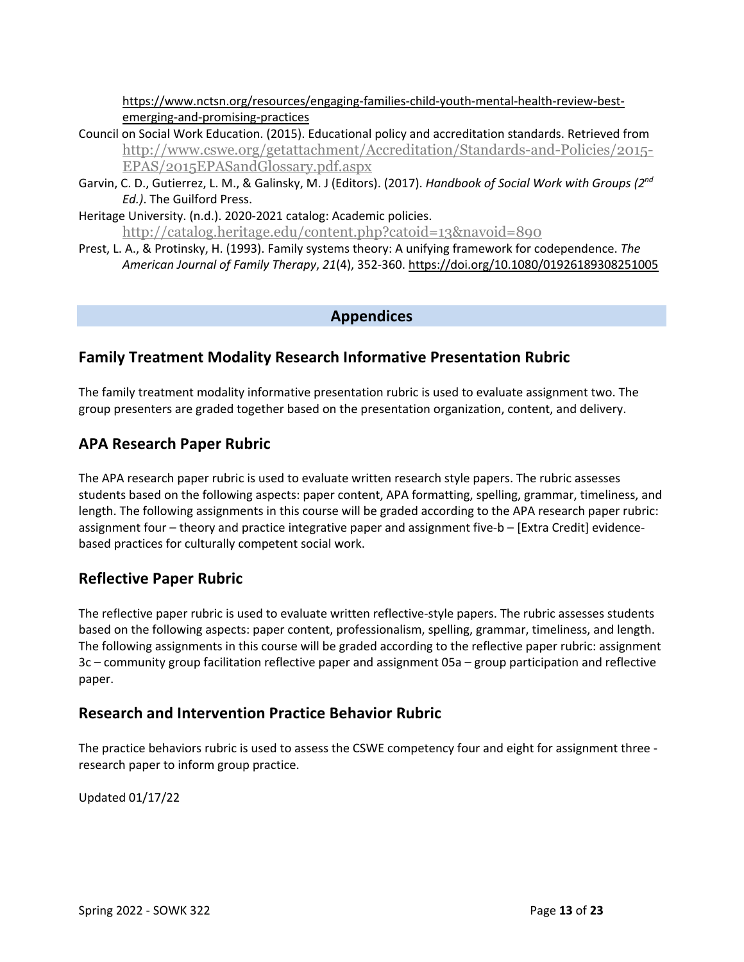https://www.nctsn.org/resources/engaging-families-child-youth-mental-health-review-bestemerging-and-promising-practices

- Council on Social Work Education. (2015). Educational policy and accreditation standards. Retrieved from http://www.cswe.org/getattachment/Accreditation/Standards-and-Policies/2015- EPAS/2015EPASandGlossary.pdf.aspx
- Garvin, C. D., Gutierrez, L. M., & Galinsky, M. J (Editors). (2017). *Handbook of Social Work with Groups (2nd Ed.)*. The Guilford Press.
- Heritage University. (n.d.). 2020-2021 catalog: Academic policies. http://catalog.heritage.edu/content.php?catoid=13&navoid=890
- Prest, L. A., & Protinsky, H. (1993). Family systems theory: A unifying framework for codependence. *The American Journal of Family Therapy*, *21*(4), 352-360. https://doi.org/10.1080/01926189308251005

#### **Appendices**

# **Family Treatment Modality Research Informative Presentation Rubric**

The family treatment modality informative presentation rubric is used to evaluate assignment two. The group presenters are graded together based on the presentation organization, content, and delivery.

# **APA Research Paper Rubric**

The APA research paper rubric is used to evaluate written research style papers. The rubric assesses students based on the following aspects: paper content, APA formatting, spelling, grammar, timeliness, and length. The following assignments in this course will be graded according to the APA research paper rubric: assignment four – theory and practice integrative paper and assignment five-b – [Extra Credit] evidencebased practices for culturally competent social work.

# **Reflective Paper Rubric**

The reflective paper rubric is used to evaluate written reflective-style papers. The rubric assesses students based on the following aspects: paper content, professionalism, spelling, grammar, timeliness, and length. The following assignments in this course will be graded according to the reflective paper rubric: assignment 3c – community group facilitation reflective paper and assignment 05a – group participation and reflective paper.

# **Research and Intervention Practice Behavior Rubric**

The practice behaviors rubric is used to assess the CSWE competency four and eight for assignment three research paper to inform group practice.

Updated 01/17/22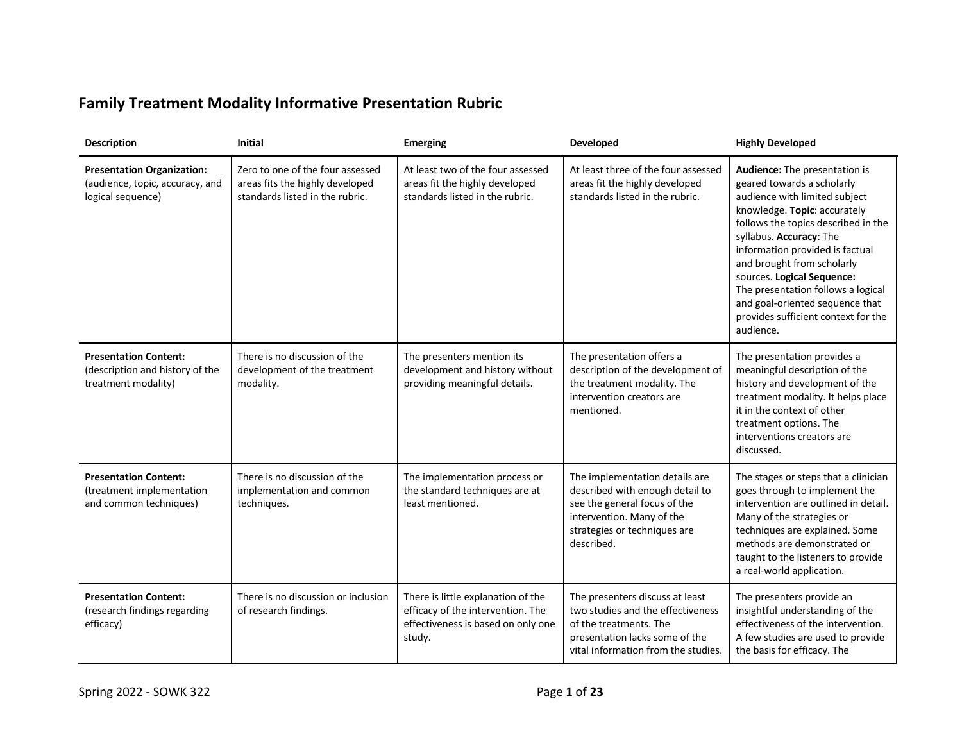# **Family Treatment Modality Informative Presentation Rubric**

| <b>Description</b>                                                                        | <b>Initial</b>                                                                                         | <b>Emerging</b>                                                                                                         | Developed                                                                                                                                                                    | <b>Highly Developed</b>                                                                                                                                                                                                                                                                                                                                                                                                    |
|-------------------------------------------------------------------------------------------|--------------------------------------------------------------------------------------------------------|-------------------------------------------------------------------------------------------------------------------------|------------------------------------------------------------------------------------------------------------------------------------------------------------------------------|----------------------------------------------------------------------------------------------------------------------------------------------------------------------------------------------------------------------------------------------------------------------------------------------------------------------------------------------------------------------------------------------------------------------------|
| <b>Presentation Organization:</b><br>(audience, topic, accuracy, and<br>logical sequence) | Zero to one of the four assessed<br>areas fits the highly developed<br>standards listed in the rubric. | At least two of the four assessed<br>areas fit the highly developed<br>standards listed in the rubric.                  | At least three of the four assessed<br>areas fit the highly developed<br>standards listed in the rubric.                                                                     | Audience: The presentation is<br>geared towards a scholarly<br>audience with limited subject<br>knowledge. Topic: accurately<br>follows the topics described in the<br>syllabus. Accuracy: The<br>information provided is factual<br>and brought from scholarly<br>sources. Logical Sequence:<br>The presentation follows a logical<br>and goal-oriented sequence that<br>provides sufficient context for the<br>audience. |
| <b>Presentation Content:</b><br>(description and history of the<br>treatment modality)    | There is no discussion of the<br>development of the treatment<br>modality.                             | The presenters mention its<br>development and history without<br>providing meaningful details.                          | The presentation offers a<br>description of the development of<br>the treatment modality. The<br>intervention creators are<br>mentioned.                                     | The presentation provides a<br>meaningful description of the<br>history and development of the<br>treatment modality. It helps place<br>it in the context of other<br>treatment options. The<br>interventions creators are<br>discussed.                                                                                                                                                                                   |
| <b>Presentation Content:</b><br>(treatment implementation<br>and common techniques)       | There is no discussion of the<br>implementation and common<br>techniques.                              | The implementation process or<br>the standard techniques are at<br>least mentioned.                                     | The implementation details are<br>described with enough detail to<br>see the general focus of the<br>intervention. Many of the<br>strategies or techniques are<br>described. | The stages or steps that a clinician<br>goes through to implement the<br>intervention are outlined in detail.<br>Many of the strategies or<br>techniques are explained. Some<br>methods are demonstrated or<br>taught to the listeners to provide<br>a real-world application.                                                                                                                                             |
| <b>Presentation Content:</b><br>(research findings regarding<br>efficacy)                 | There is no discussion or inclusion<br>of research findings.                                           | There is little explanation of the<br>efficacy of the intervention. The<br>effectiveness is based on only one<br>study. | The presenters discuss at least<br>two studies and the effectiveness<br>of the treatments. The<br>presentation lacks some of the<br>vital information from the studies.      | The presenters provide an<br>insightful understanding of the<br>effectiveness of the intervention.<br>A few studies are used to provide<br>the basis for efficacy. The                                                                                                                                                                                                                                                     |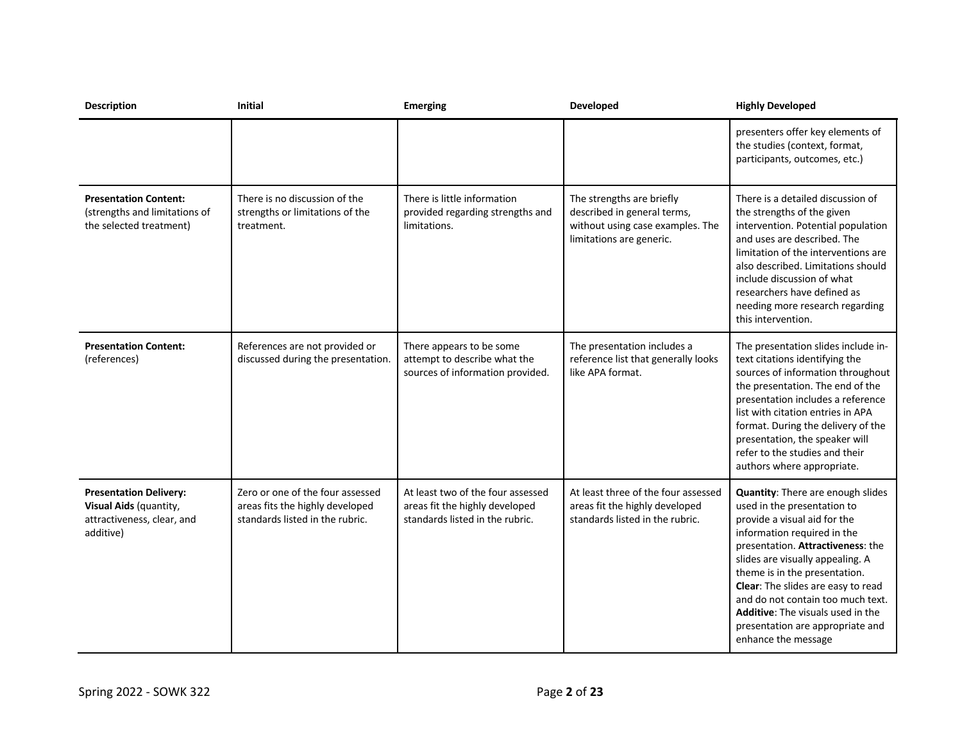| <b>Description</b>                                                                                 | Initial                                                                                                | <b>Emerging</b>                                                                                        | Developed                                                                                                                | <b>Highly Developed</b>                                                                                                                                                                                                                                                                                                                                                                                              |
|----------------------------------------------------------------------------------------------------|--------------------------------------------------------------------------------------------------------|--------------------------------------------------------------------------------------------------------|--------------------------------------------------------------------------------------------------------------------------|----------------------------------------------------------------------------------------------------------------------------------------------------------------------------------------------------------------------------------------------------------------------------------------------------------------------------------------------------------------------------------------------------------------------|
|                                                                                                    |                                                                                                        |                                                                                                        |                                                                                                                          | presenters offer key elements of<br>the studies (context, format,<br>participants, outcomes, etc.)                                                                                                                                                                                                                                                                                                                   |
| <b>Presentation Content:</b><br>(strengths and limitations of<br>the selected treatment)           | There is no discussion of the<br>strengths or limitations of the<br>treatment.                         | There is little information<br>provided regarding strengths and<br>limitations.                        | The strengths are briefly<br>described in general terms,<br>without using case examples. The<br>limitations are generic. | There is a detailed discussion of<br>the strengths of the given<br>intervention. Potential population<br>and uses are described. The<br>limitation of the interventions are<br>also described. Limitations should<br>include discussion of what<br>researchers have defined as<br>needing more research regarding<br>this intervention.                                                                              |
| <b>Presentation Content:</b><br>(references)                                                       | References are not provided or<br>discussed during the presentation.                                   | There appears to be some<br>attempt to describe what the<br>sources of information provided.           | The presentation includes a<br>reference list that generally looks<br>like APA format.                                   | The presentation slides include in-<br>text citations identifying the<br>sources of information throughout<br>the presentation. The end of the<br>presentation includes a reference<br>list with citation entries in APA<br>format. During the delivery of the<br>presentation, the speaker will<br>refer to the studies and their<br>authors where appropriate.                                                     |
| <b>Presentation Delivery:</b><br>Visual Aids (quantity,<br>attractiveness, clear, and<br>additive) | Zero or one of the four assessed<br>areas fits the highly developed<br>standards listed in the rubric. | At least two of the four assessed<br>areas fit the highly developed<br>standards listed in the rubric. | At least three of the four assessed<br>areas fit the highly developed<br>standards listed in the rubric.                 | Quantity: There are enough slides<br>used in the presentation to<br>provide a visual aid for the<br>information required in the<br>presentation. Attractiveness: the<br>slides are visually appealing. A<br>theme is in the presentation.<br>Clear: The slides are easy to read<br>and do not contain too much text.<br>Additive: The visuals used in the<br>presentation are appropriate and<br>enhance the message |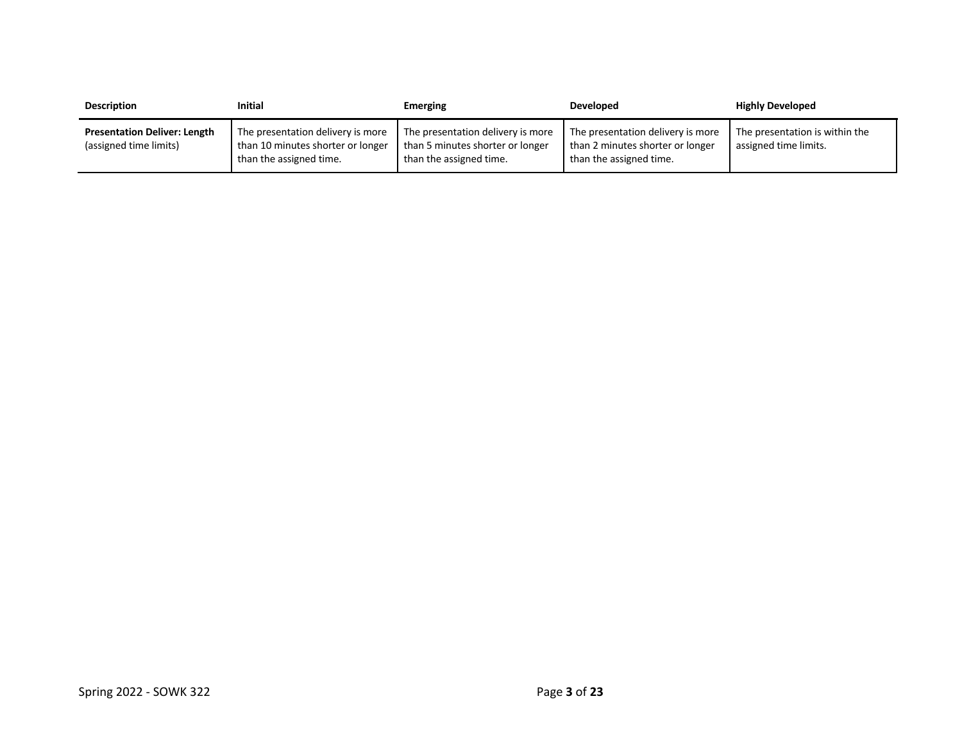| <b>Description</b>                                            | Initial                                                                                           | Emerging                                                                                         | <b>Developed</b>                                                                                 | <b>Highly Developed</b>                                 |
|---------------------------------------------------------------|---------------------------------------------------------------------------------------------------|--------------------------------------------------------------------------------------------------|--------------------------------------------------------------------------------------------------|---------------------------------------------------------|
| <b>Presentation Deliver: Length</b><br>(assigned time limits) | The presentation delivery is more<br>than 10 minutes shorter or longer<br>than the assigned time. | The presentation delivery is more<br>than 5 minutes shorter or longer<br>than the assigned time. | The presentation delivery is more<br>than 2 minutes shorter or longer<br>than the assigned time. | The presentation is within the<br>assigned time limits. |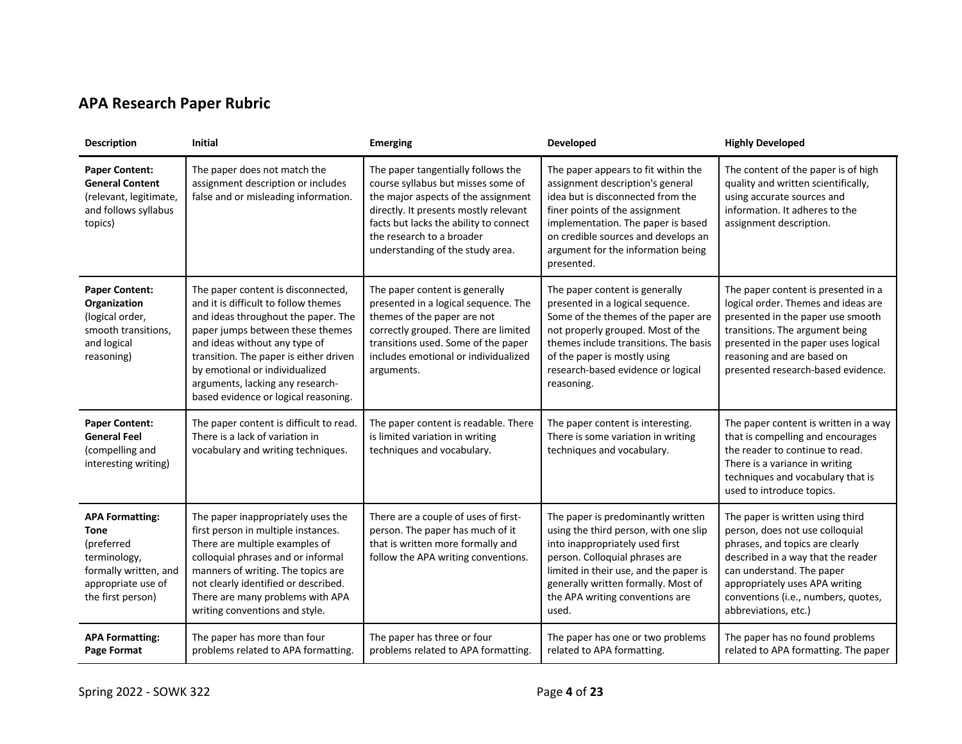# **APA Research Paper Rubric**

| <b>Description</b>                                                                                                                      | <b>Initial</b>                                                                                                                                                                                                                                                                                                                                 | <b>Emerging</b>                                                                                                                                                                                                                                                     | Developed                                                                                                                                                                                                                                                                       | <b>Highly Developed</b>                                                                                                                                                                                                                                                    |
|-----------------------------------------------------------------------------------------------------------------------------------------|------------------------------------------------------------------------------------------------------------------------------------------------------------------------------------------------------------------------------------------------------------------------------------------------------------------------------------------------|---------------------------------------------------------------------------------------------------------------------------------------------------------------------------------------------------------------------------------------------------------------------|---------------------------------------------------------------------------------------------------------------------------------------------------------------------------------------------------------------------------------------------------------------------------------|----------------------------------------------------------------------------------------------------------------------------------------------------------------------------------------------------------------------------------------------------------------------------|
| <b>Paper Content:</b><br><b>General Content</b><br>(relevant, legitimate,<br>and follows syllabus<br>topics)                            | The paper does not match the<br>assignment description or includes<br>false and or misleading information.                                                                                                                                                                                                                                     | The paper tangentially follows the<br>course syllabus but misses some of<br>the major aspects of the assignment<br>directly. It presents mostly relevant<br>facts but lacks the ability to connect<br>the research to a broader<br>understanding of the study area. | The paper appears to fit within the<br>assignment description's general<br>idea but is disconnected from the<br>finer points of the assignment<br>implementation. The paper is based<br>on credible sources and develops an<br>argument for the information being<br>presented. | The content of the paper is of high<br>quality and written scientifically,<br>using accurate sources and<br>information. It adheres to the<br>assignment description.                                                                                                      |
| <b>Paper Content:</b><br>Organization<br>(logical order,<br>smooth transitions,<br>and logical<br>reasoning)                            | The paper content is disconnected,<br>and it is difficult to follow themes<br>and ideas throughout the paper. The<br>paper jumps between these themes<br>and ideas without any type of<br>transition. The paper is either driven<br>by emotional or individualized<br>arguments, lacking any research-<br>based evidence or logical reasoning. | The paper content is generally<br>presented in a logical sequence. The<br>themes of the paper are not<br>correctly grouped. There are limited<br>transitions used. Some of the paper<br>includes emotional or individualized<br>arguments.                          | The paper content is generally<br>presented in a logical sequence.<br>Some of the themes of the paper are<br>not properly grouped. Most of the<br>themes include transitions. The basis<br>of the paper is mostly using<br>research-based evidence or logical<br>reasoning.     | The paper content is presented in a<br>logical order. Themes and ideas are<br>presented in the paper use smooth<br>transitions. The argument being<br>presented in the paper uses logical<br>reasoning and are based on<br>presented research-based evidence.              |
| <b>Paper Content:</b><br><b>General Feel</b><br>(compelling and<br>interesting writing)                                                 | The paper content is difficult to read.<br>There is a lack of variation in<br>vocabulary and writing techniques.                                                                                                                                                                                                                               | The paper content is readable. There<br>is limited variation in writing<br>techniques and vocabulary.                                                                                                                                                               | The paper content is interesting.<br>There is some variation in writing<br>techniques and vocabulary.                                                                                                                                                                           | The paper content is written in a way<br>that is compelling and encourages<br>the reader to continue to read.<br>There is a variance in writing<br>techniques and vocabulary that is<br>used to introduce topics.                                                          |
| <b>APA Formatting:</b><br><b>Tone</b><br>(preferred<br>terminology,<br>formally written, and<br>appropriate use of<br>the first person) | The paper inappropriately uses the<br>first person in multiple instances.<br>There are multiple examples of<br>colloquial phrases and or informal<br>manners of writing. The topics are<br>not clearly identified or described.<br>There are many problems with APA<br>writing conventions and style.                                          | There are a couple of uses of first-<br>person. The paper has much of it<br>that is written more formally and<br>follow the APA writing conventions.                                                                                                                | The paper is predominantly written<br>using the third person, with one slip<br>into inappropriately used first<br>person. Colloquial phrases are<br>limited in their use, and the paper is<br>generally written formally. Most of<br>the APA writing conventions are<br>used.   | The paper is written using third<br>person, does not use colloquial<br>phrases, and topics are clearly<br>described in a way that the reader<br>can understand. The paper<br>appropriately uses APA writing<br>conventions (i.e., numbers, quotes,<br>abbreviations, etc.) |
| <b>APA Formatting:</b><br>Page Format                                                                                                   | The paper has more than four<br>problems related to APA formatting.                                                                                                                                                                                                                                                                            | The paper has three or four<br>problems related to APA formatting.                                                                                                                                                                                                  | The paper has one or two problems<br>related to APA formatting.                                                                                                                                                                                                                 | The paper has no found problems<br>related to APA formatting. The paper                                                                                                                                                                                                    |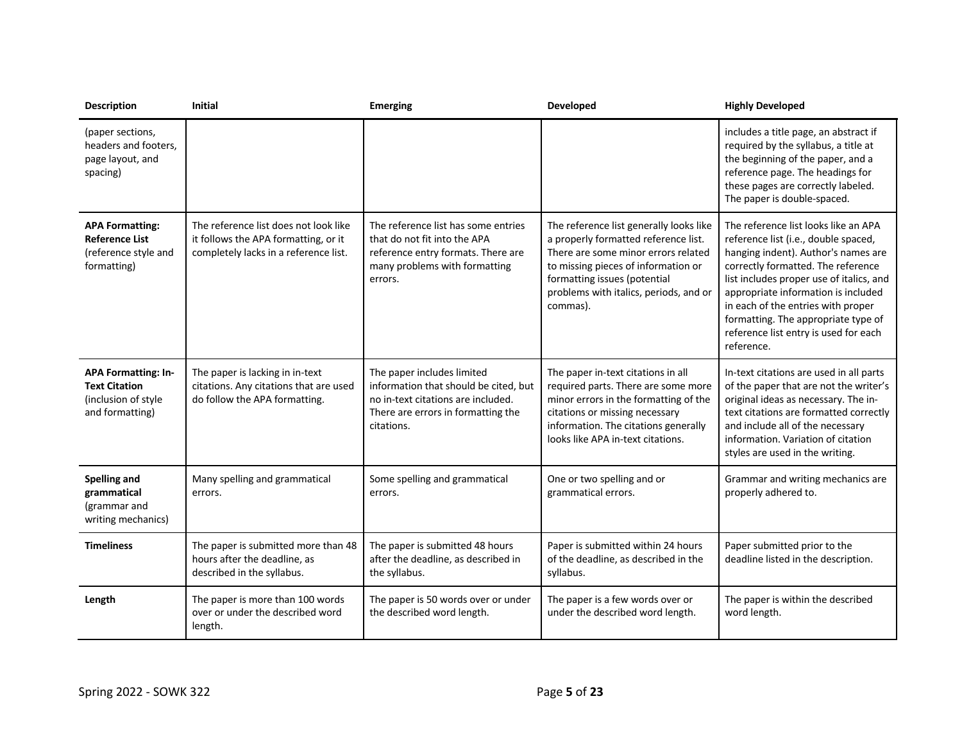| <b>Description</b>                                                                           | <b>Initial</b>                                                                                                         | <b>Emerging</b>                                                                                                                                               | Developed                                                                                                                                                                                                                                           | <b>Highly Developed</b>                                                                                                                                                                                                                                                                                                                                                          |
|----------------------------------------------------------------------------------------------|------------------------------------------------------------------------------------------------------------------------|---------------------------------------------------------------------------------------------------------------------------------------------------------------|-----------------------------------------------------------------------------------------------------------------------------------------------------------------------------------------------------------------------------------------------------|----------------------------------------------------------------------------------------------------------------------------------------------------------------------------------------------------------------------------------------------------------------------------------------------------------------------------------------------------------------------------------|
| (paper sections,<br>headers and footers,<br>page layout, and<br>spacing)                     |                                                                                                                        |                                                                                                                                                               |                                                                                                                                                                                                                                                     | includes a title page, an abstract if<br>required by the syllabus, a title at<br>the beginning of the paper, and a<br>reference page. The headings for<br>these pages are correctly labeled.<br>The paper is double-spaced.                                                                                                                                                      |
| <b>APA Formatting:</b><br><b>Reference List</b><br>(reference style and<br>formatting)       | The reference list does not look like<br>it follows the APA formatting, or it<br>completely lacks in a reference list. | The reference list has some entries<br>that do not fit into the APA<br>reference entry formats. There are<br>many problems with formatting<br>errors.         | The reference list generally looks like<br>a properly formatted reference list.<br>There are some minor errors related<br>to missing pieces of information or<br>formatting issues (potential<br>problems with italics, periods, and or<br>commas). | The reference list looks like an APA<br>reference list (i.e., double spaced,<br>hanging indent). Author's names are<br>correctly formatted. The reference<br>list includes proper use of italics, and<br>appropriate information is included<br>in each of the entries with proper<br>formatting. The appropriate type of<br>reference list entry is used for each<br>reference. |
| <b>APA Formatting: In-</b><br><b>Text Citation</b><br>(inclusion of style<br>and formatting) | The paper is lacking in in-text<br>citations. Any citations that are used<br>do follow the APA formatting.             | The paper includes limited<br>information that should be cited, but<br>no in-text citations are included.<br>There are errors in formatting the<br>citations. | The paper in-text citations in all<br>required parts. There are some more<br>minor errors in the formatting of the<br>citations or missing necessary<br>information. The citations generally<br>looks like APA in-text citations.                   | In-text citations are used in all parts<br>of the paper that are not the writer's<br>original ideas as necessary. The in-<br>text citations are formatted correctly<br>and include all of the necessary<br>information. Variation of citation<br>styles are used in the writing.                                                                                                 |
| <b>Spelling and</b><br>grammatical<br>(grammar and<br>writing mechanics)                     | Many spelling and grammatical<br>errors.                                                                               | Some spelling and grammatical<br>errors.                                                                                                                      | One or two spelling and or<br>grammatical errors.                                                                                                                                                                                                   | Grammar and writing mechanics are<br>properly adhered to.                                                                                                                                                                                                                                                                                                                        |
| <b>Timeliness</b>                                                                            | The paper is submitted more than 48<br>hours after the deadline, as<br>described in the syllabus.                      | The paper is submitted 48 hours<br>after the deadline, as described in<br>the syllabus.                                                                       | Paper is submitted within 24 hours<br>of the deadline, as described in the<br>syllabus.                                                                                                                                                             | Paper submitted prior to the<br>deadline listed in the description.                                                                                                                                                                                                                                                                                                              |
| Length                                                                                       | The paper is more than 100 words<br>over or under the described word<br>length.                                        | The paper is 50 words over or under<br>the described word length.                                                                                             | The paper is a few words over or<br>under the described word length.                                                                                                                                                                                | The paper is within the described<br>word length.                                                                                                                                                                                                                                                                                                                                |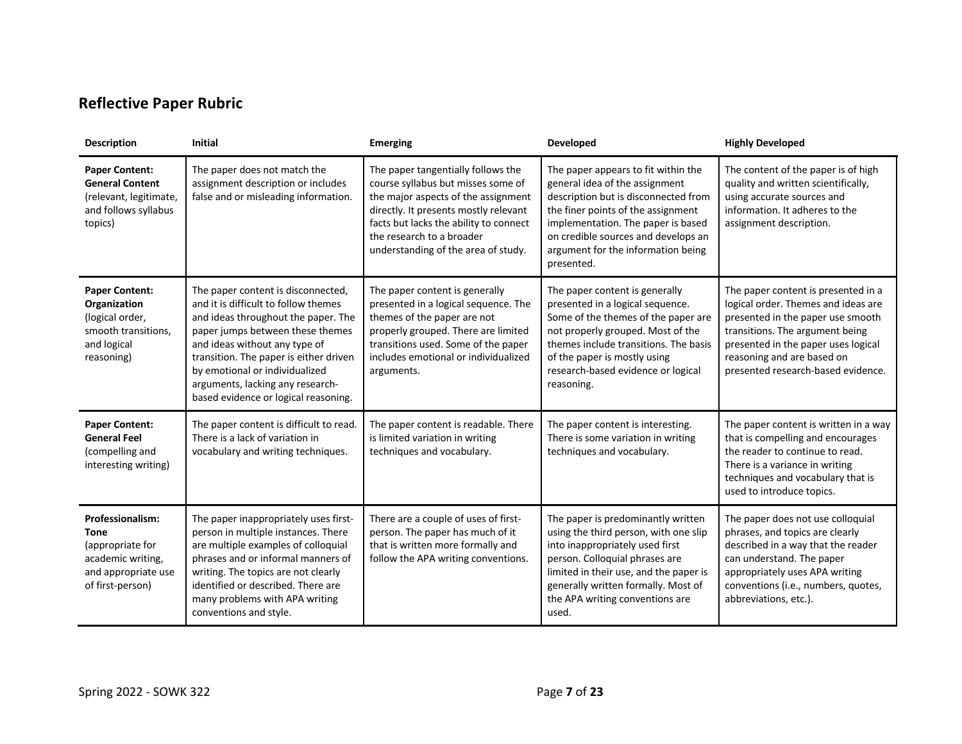# **Reflective Paper Rubric**

| <b>Description</b>                                                                                                         | <b>Initial</b>                                                                                                                                                                                                                                                                                                                                 | <b>Emerging</b>                                                                                                                                                                                                                                                        | Developed                                                                                                                                                                                                                                                                            | <b>Highly Developed</b>                                                                                                                                                                                                                                       |
|----------------------------------------------------------------------------------------------------------------------------|------------------------------------------------------------------------------------------------------------------------------------------------------------------------------------------------------------------------------------------------------------------------------------------------------------------------------------------------|------------------------------------------------------------------------------------------------------------------------------------------------------------------------------------------------------------------------------------------------------------------------|--------------------------------------------------------------------------------------------------------------------------------------------------------------------------------------------------------------------------------------------------------------------------------------|---------------------------------------------------------------------------------------------------------------------------------------------------------------------------------------------------------------------------------------------------------------|
| <b>Paper Content:</b><br><b>General Content</b><br>(relevant, legitimate,<br>and follows syllabus<br>topics)               | The paper does not match the<br>assignment description or includes<br>false and or misleading information.                                                                                                                                                                                                                                     | The paper tangentially follows the<br>course syllabus but misses some of<br>the major aspects of the assignment<br>directly. It presents mostly relevant<br>facts but lacks the ability to connect<br>the research to a broader<br>understanding of the area of study. | The paper appears to fit within the<br>general idea of the assignment<br>description but is disconnected from<br>the finer points of the assignment<br>implementation. The paper is based<br>on credible sources and develops an<br>argument for the information being<br>presented. | The content of the paper is of high<br>quality and written scientifically,<br>using accurate sources and<br>information. It adheres to the<br>assignment description.                                                                                         |
| <b>Paper Content:</b><br>Organization<br>(logical order,<br>smooth transitions,<br>and logical<br>reasoning)               | The paper content is disconnected,<br>and it is difficult to follow themes<br>and ideas throughout the paper. The<br>paper jumps between these themes<br>and ideas without any type of<br>transition. The paper is either driven<br>by emotional or individualized<br>arguments, lacking any research-<br>based evidence or logical reasoning. | The paper content is generally<br>presented in a logical sequence. The<br>themes of the paper are not<br>properly grouped. There are limited<br>transitions used. Some of the paper<br>includes emotional or individualized<br>arguments.                              | The paper content is generally<br>presented in a logical sequence.<br>Some of the themes of the paper are<br>not properly grouped. Most of the<br>themes include transitions. The basis<br>of the paper is mostly using<br>research-based evidence or logical<br>reasoning.          | The paper content is presented in a<br>logical order. Themes and ideas are<br>presented in the paper use smooth<br>transitions. The argument being<br>presented in the paper uses logical<br>reasoning and are based on<br>presented research-based evidence. |
| <b>Paper Content:</b><br><b>General Feel</b><br>(compelling and<br>interesting writing)                                    | The paper content is difficult to read.<br>There is a lack of variation in<br>vocabulary and writing techniques.                                                                                                                                                                                                                               | The paper content is readable. There<br>is limited variation in writing<br>techniques and vocabulary.                                                                                                                                                                  | The paper content is interesting.<br>There is some variation in writing<br>techniques and vocabulary.                                                                                                                                                                                | The paper content is written in a way<br>that is compelling and encourages<br>the reader to continue to read.<br>There is a variance in writing<br>techniques and vocabulary that is<br>used to introduce topics.                                             |
| <b>Professionalism:</b><br><b>Tone</b><br>(appropriate for<br>academic writing,<br>and appropriate use<br>of first-person) | The paper inappropriately uses first-<br>person in multiple instances. There<br>are multiple examples of colloquial<br>phrases and or informal manners of<br>writing. The topics are not clearly<br>identified or described. There are<br>many problems with APA writing<br>conventions and style.                                             | There are a couple of uses of first-<br>person. The paper has much of it<br>that is written more formally and<br>follow the APA writing conventions.                                                                                                                   | The paper is predominantly written<br>using the third person, with one slip<br>into inappropriately used first<br>person. Colloquial phrases are<br>limited in their use, and the paper is<br>generally written formally. Most of<br>the APA writing conventions are<br>used.        | The paper does not use colloquial<br>phrases, and topics are clearly<br>described in a way that the reader<br>can understand. The paper<br>appropriately uses APA writing<br>conventions (i.e., numbers, quotes,<br>abbreviations, etc.).                     |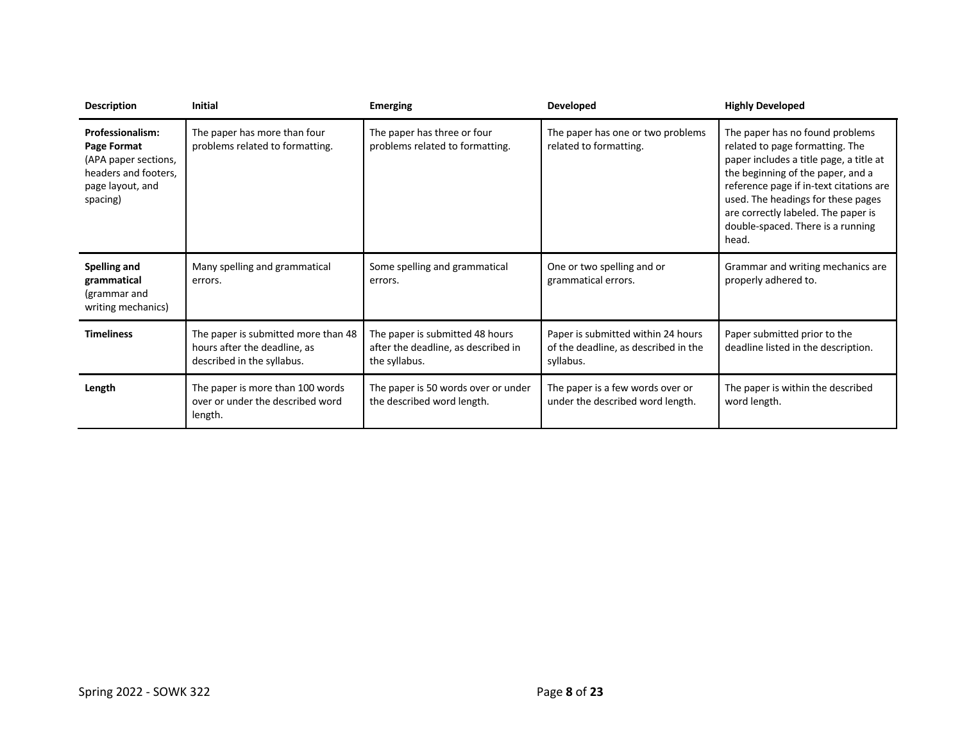| <b>Description</b>                                                                                                     | <b>Initial</b>                                                                                    | <b>Emerging</b>                                                                         | <b>Developed</b>                                                                        | <b>Highly Developed</b>                                                                                                                                                                                                                                                                                                  |
|------------------------------------------------------------------------------------------------------------------------|---------------------------------------------------------------------------------------------------|-----------------------------------------------------------------------------------------|-----------------------------------------------------------------------------------------|--------------------------------------------------------------------------------------------------------------------------------------------------------------------------------------------------------------------------------------------------------------------------------------------------------------------------|
| <b>Professionalism:</b><br>Page Format<br>(APA paper sections,<br>headers and footers,<br>page layout, and<br>spacing) | The paper has more than four<br>problems related to formatting.                                   | The paper has three or four<br>problems related to formatting.                          | The paper has one or two problems<br>related to formatting.                             | The paper has no found problems<br>related to page formatting. The<br>paper includes a title page, a title at<br>the beginning of the paper, and a<br>reference page if in-text citations are<br>used. The headings for these pages<br>are correctly labeled. The paper is<br>double-spaced. There is a running<br>head. |
| Spelling and<br>grammatical<br>(grammar and<br>writing mechanics)                                                      | Many spelling and grammatical<br>errors.                                                          | Some spelling and grammatical<br>errors.                                                | One or two spelling and or<br>grammatical errors.                                       | Grammar and writing mechanics are<br>properly adhered to.                                                                                                                                                                                                                                                                |
| <b>Timeliness</b>                                                                                                      | The paper is submitted more than 48<br>hours after the deadline, as<br>described in the syllabus. | The paper is submitted 48 hours<br>after the deadline, as described in<br>the syllabus. | Paper is submitted within 24 hours<br>of the deadline, as described in the<br>syllabus. | Paper submitted prior to the<br>deadline listed in the description.                                                                                                                                                                                                                                                      |
| Length                                                                                                                 | The paper is more than 100 words<br>over or under the described word<br>length.                   | The paper is 50 words over or under<br>the described word length.                       | The paper is a few words over or<br>under the described word length.                    | The paper is within the described<br>word length.                                                                                                                                                                                                                                                                        |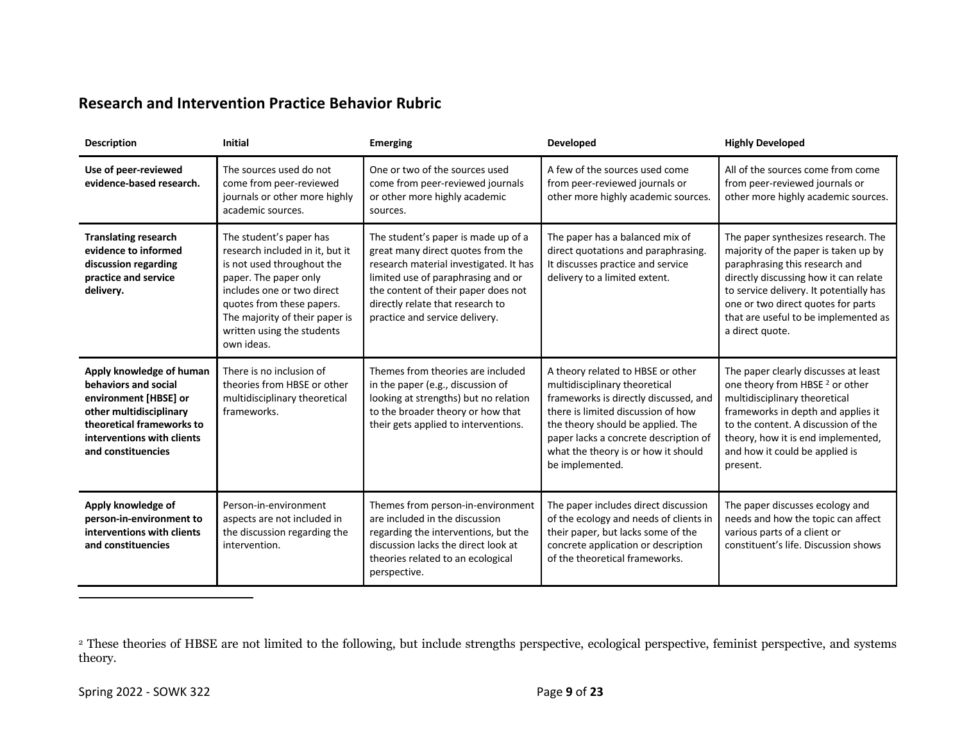# **Research and Intervention Practice Behavior Rubric**

| <b>Description</b>                                                                                                                                                                    | <b>Initial</b>                                                                                                                                                                                                                                             | <b>Emerging</b>                                                                                                                                                                                                                                                       | Developed                                                                                                                                                                                                                                                                                 | <b>Highly Developed</b>                                                                                                                                                                                                                                                                            |
|---------------------------------------------------------------------------------------------------------------------------------------------------------------------------------------|------------------------------------------------------------------------------------------------------------------------------------------------------------------------------------------------------------------------------------------------------------|-----------------------------------------------------------------------------------------------------------------------------------------------------------------------------------------------------------------------------------------------------------------------|-------------------------------------------------------------------------------------------------------------------------------------------------------------------------------------------------------------------------------------------------------------------------------------------|----------------------------------------------------------------------------------------------------------------------------------------------------------------------------------------------------------------------------------------------------------------------------------------------------|
| Use of peer-reviewed<br>evidence-based research.                                                                                                                                      | The sources used do not<br>come from peer-reviewed<br>journals or other more highly<br>academic sources.                                                                                                                                                   | One or two of the sources used<br>come from peer-reviewed journals<br>or other more highly academic<br>sources.                                                                                                                                                       | A few of the sources used come<br>from peer-reviewed journals or<br>other more highly academic sources.                                                                                                                                                                                   | All of the sources come from come<br>from peer-reviewed journals or<br>other more highly academic sources.                                                                                                                                                                                         |
| <b>Translating research</b><br>evidence to informed<br>discussion regarding<br>practice and service<br>delivery.                                                                      | The student's paper has<br>research included in it, but it<br>is not used throughout the<br>paper. The paper only<br>includes one or two direct<br>quotes from these papers.<br>The majority of their paper is<br>written using the students<br>own ideas. | The student's paper is made up of a<br>great many direct quotes from the<br>research material investigated. It has<br>limited use of paraphrasing and or<br>the content of their paper does not<br>directly relate that research to<br>practice and service delivery. | The paper has a balanced mix of<br>direct quotations and paraphrasing.<br>It discusses practice and service<br>delivery to a limited extent.                                                                                                                                              | The paper synthesizes research. The<br>majority of the paper is taken up by<br>paraphrasing this research and<br>directly discussing how it can relate<br>to service delivery. It potentially has<br>one or two direct quotes for parts<br>that are useful to be implemented as<br>a direct quote. |
| Apply knowledge of human<br>behaviors and social<br>environment [HBSE] or<br>other multidisciplinary<br>theoretical frameworks to<br>interventions with clients<br>and constituencies | There is no inclusion of<br>theories from HBSE or other<br>multidisciplinary theoretical<br>frameworks.                                                                                                                                                    | Themes from theories are included<br>in the paper (e.g., discussion of<br>looking at strengths) but no relation<br>to the broader theory or how that<br>their gets applied to interventions.                                                                          | A theory related to HBSE or other<br>multidisciplinary theoretical<br>frameworks is directly discussed, and<br>there is limited discussion of how<br>the theory should be applied. The<br>paper lacks a concrete description of<br>what the theory is or how it should<br>be implemented. | The paper clearly discusses at least<br>one theory from HBSE <sup>2</sup> or other<br>multidisciplinary theoretical<br>frameworks in depth and applies it<br>to the content. A discussion of the<br>theory, how it is end implemented,<br>and how it could be applied is<br>present.               |
| Apply knowledge of<br>person-in-environment to<br>interventions with clients<br>and constituencies                                                                                    | Person-in-environment<br>aspects are not included in<br>the discussion regarding the<br>intervention.                                                                                                                                                      | Themes from person-in-environment<br>are included in the discussion<br>regarding the interventions, but the<br>discussion lacks the direct look at<br>theories related to an ecological<br>perspective.                                                               | The paper includes direct discussion<br>of the ecology and needs of clients in<br>their paper, but lacks some of the<br>concrete application or description<br>of the theoretical frameworks.                                                                                             | The paper discusses ecology and<br>needs and how the topic can affect<br>various parts of a client or<br>constituent's life. Discussion shows                                                                                                                                                      |

<sup>&</sup>lt;sup>2</sup> These theories of HBSE are not limited to the following, but include strengths perspective, ecological perspective, feminist perspective, and systems theory.